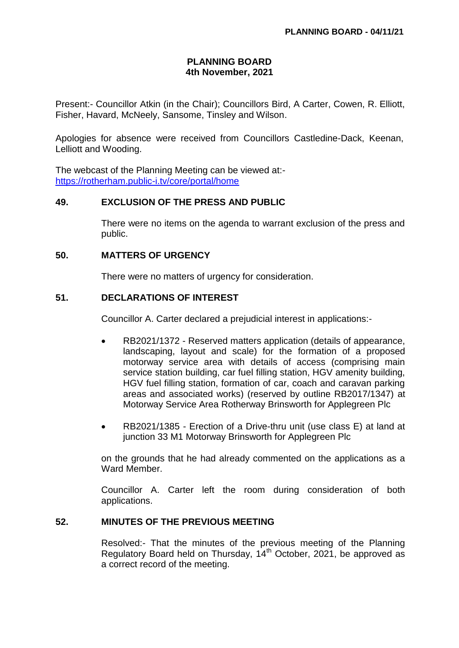# **PLANNING BOARD 4th November, 2021**

Present:- Councillor Atkin (in the Chair); Councillors Bird, A Carter, Cowen, R. Elliott, Fisher, Havard, McNeely, Sansome, Tinsley and Wilson.

Apologies for absence were received from Councillors Castledine-Dack, Keenan, Lelliott and Wooding.

The webcast of the Planning Meeting can be viewed at: <https://rotherham.public-i.tv/core/portal/home>

# **49. EXCLUSION OF THE PRESS AND PUBLIC**

There were no items on the agenda to warrant exclusion of the press and public.

# **50. MATTERS OF URGENCY**

There were no matters of urgency for consideration.

#### **51. DECLARATIONS OF INTEREST**

Councillor A. Carter declared a prejudicial interest in applications:-

- RB2021/1372 Reserved matters application (details of appearance, landscaping, layout and scale) for the formation of a proposed motorway service area with details of access (comprising main service station building, car fuel filling station, HGV amenity building, HGV fuel filling station, formation of car, coach and caravan parking areas and associated works) (reserved by outline RB2017/1347) at Motorway Service Area Rotherway Brinsworth for Applegreen Plc
- RB2021/1385 Erection of a Drive-thru unit (use class E) at land at junction 33 M1 Motorway Brinsworth for Applegreen Plc

on the grounds that he had already commented on the applications as a Ward Member.

Councillor A. Carter left the room during consideration of both applications.

# **52. MINUTES OF THE PREVIOUS MEETING**

Resolved:- That the minutes of the previous meeting of the Planning Regulatory Board held on Thursday,  $14<sup>th</sup>$  October, 2021, be approved as a correct record of the meeting.